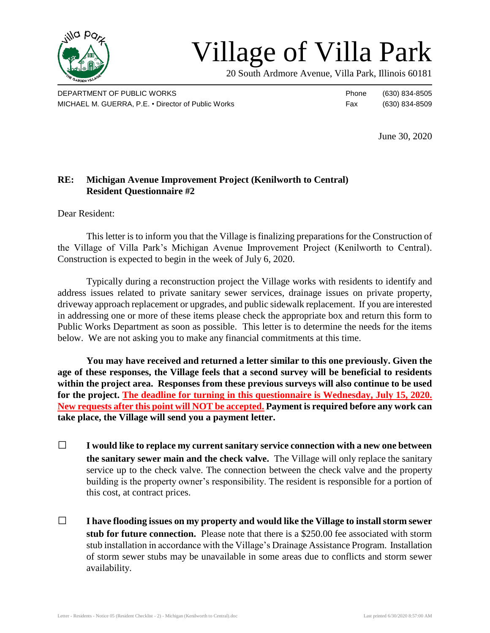

## Village of Villa Park

20 South Ardmore Avenue, Villa Park, Illinois 60181

DEPARTMENT OF PUBLIC WORKS **Phone** (630) 834-8505 MICHAEL M. GUERRA, P.E. • Director of Public Works Fax (630) 834-8509

June 30, 2020

## **RE: Michigan Avenue Improvement Project (Kenilworth to Central) Resident Questionnaire #2**

Dear Resident:

This letter is to inform you that the Village is finalizing preparations for the Construction of the Village of Villa Park's Michigan Avenue Improvement Project (Kenilworth to Central). Construction is expected to begin in the week of July 6, 2020.

Typically during a reconstruction project the Village works with residents to identify and address issues related to private sanitary sewer services, drainage issues on private property, driveway approach replacement or upgrades, and public sidewalk replacement. If you are interested in addressing one or more of these items please check the appropriate box and return this form to Public Works Department as soon as possible. This letter is to determine the needs for the items below. We are not asking you to make any financial commitments at this time.

**You may have received and returned a letter similar to this one previously. Given the age of these responses, the Village feels that a second survey will be beneficial to residents within the project area. Responses from these previous surveys will also continue to be used for the project. The deadline for turning in this questionnaire is Wednesday, July 15, 2020. New requests after this point will NOT be accepted. Payment is required before any work can take place, the Village will send you a payment letter.**

- □ **I would like to replace my current sanitary service connection with a new one between the sanitary sewer main and the check valve.** The Village will only replace the sanitary service up to the check valve. The connection between the check valve and the property building is the property owner's responsibility. The resident is responsible for a portion of this cost, at contract prices.
- □ **I have flooding issues on my property and would like the Village to install storm sewer stub for future connection.** Please note that there is a \$250.00 fee associated with storm stub installation in accordance with the Village's Drainage Assistance Program. Installation of storm sewer stubs may be unavailable in some areas due to conflicts and storm sewer availability.